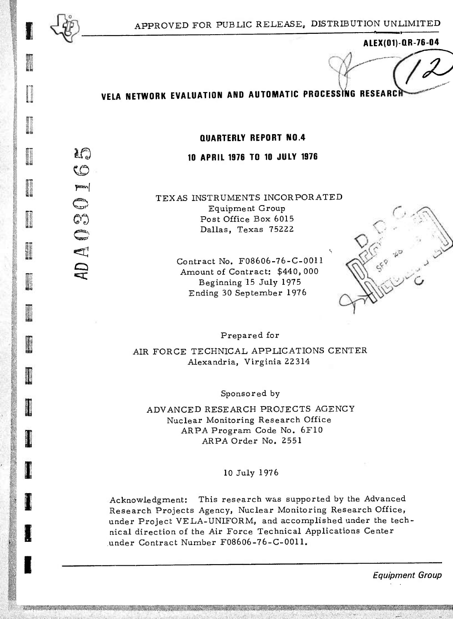

*m* 

**CO**

 $\label{eq:power} \mathbf{P}^{\text{max}}$ 

*13!'*

**CO**

**Q C3C**

**I** 

**INSTERNE** 

**I** 

**I**

**ALEX(01)-QR-76-04**

**-»\*'""•'**

# **VELA NETWORK EVALUATION AND AUTOMATIC** PROCESSING RESEARcl

#### **QUARTERLY REPORT N0.4**

#### **10 APRIL 1976 TO 10 JULY 1976**

TEXAS INSTRUMENTS INCORPORATED Equipment Group Post Office Box 6015 Dallas, Texas 75222

> Contract No. F08606-76-C-0011 Amount of Contract: \$440, 000 Beginning 15 July 1975 Ending 30 September 1976



Prepared for

AIR FORCE TECHNICAL APPLICATIONS CENTER Alexandria, Virginia 22 314

Sponsored by

ADVANCED RESEARCH PROJECTS AGENCY Nuclear Monitoring Research Office ARPA Program Code No. 6F10 ARPA Order No. 2551

10 July 1976

Acknowledgment: This research was supported by the Advanced Research Projects Agency, Nuclear Monitoring Research Office, under Project VELA-UNIFORM, and accomplished under the technical direction of the Air Force Technical Applications Center under Contract Number F08606-76-C-0011.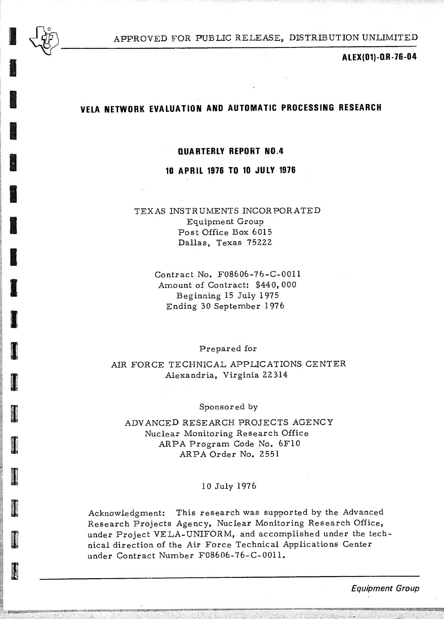

**I**

**I**

**I**

**Sina Andre Andre Andre Andre Andre Andre Andre Andre Andre Andre Andre Andre Andre Andre Andre Andre Andre Andre Andre Andre Andre Andre Andre Andre Andre Andre Andre Andre Andre Andre<br>1970 - Ive Andre Andre Andre Andre A** 

**,!;--''-=i**

**-''^^'** V/,!^:;:>n;V:-^-;:y;-'y-WK"^ni;r^:«VV^'IX^;inMOnrt^SWW

APPROVED FOR PUBLIC RELEASE, DISTRIBUTION UNLIMITED

**ALEX(01)-QR-76-04**

### **VELA NETWORK EVALUATION AND AUTOMATIC PROCESSING RESEARCH**

■■ **v,,,-** *— ^.rr.::,U::.-.:^u^<sup>&</sup>gt;* ■■*'..,^*

#### **QUARTERLY REPORT N0.4**

**10 APRIL 1976 TO 10 JULY 1976**

TEXAS INSTRUMENTS INCORPORATED Equipment Group Post Office Box 6015 Dallas, Texas 75222

> Contract No. F08606-76-C-0011 Amount of Contract: \$440, 000 Beginning 15 July 1975 Ending 30 September 1976

> > Prepared for

AIR FORCE TECHNICAL APPLICATIONS CENTER Alexandria, Virginia 22 314

Sponsored by

ADVANCED RESEARCH PROJECTS AGENCY Nuclear Monitoring Research Office ARPA Program Code No. 6F10 ARPA Order No. 2551

#### 10 July 1976

Acknowledgment: This research was supported by the Advanced Research Projects Agency, Nuclear Monitoring Research Office, under Project VELA-UNIFORM, and accomplished under the technical direction of the Air Force Technical Applications Center under Contract Number F08606-76-C-0011.

*Equipment Group*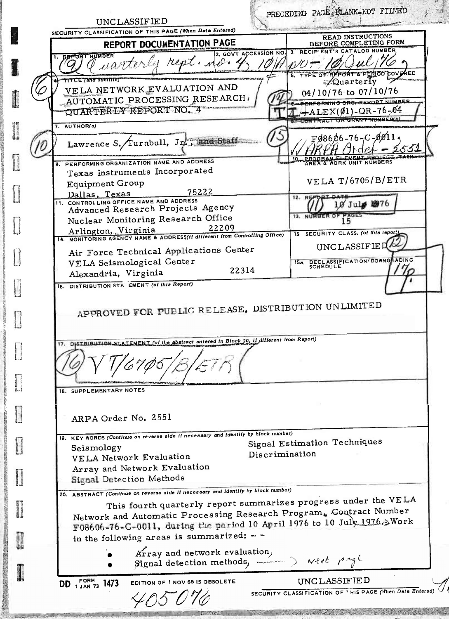PRECEDING PAGE BLANK-NOT FILMED UNCLASSIFIED SECURITY CLASSIFICATION OF THIS PAGE (When Data Entered) **READ INSTRUCTIONS BEFORE COMPLETING FORM REPORT DOCUMENTATION PAGE** RECIPIENT'S CATALOG NUMBER 2. GOVT ACCESSION NO. rest. uarte **COVERED TTLE (And Submite)**  $\neq$ Quarterly VELA NETWORK EVALUATION AND 04/10/76 to 07/10/76 AUTOMATIC PROCESSING RESEARCH **GRFORMING ORG-REPORT NUMBER** QUARTERLY REPORT NO. 4  $L+ALEX(01)-QR-76-04$ **LONTRACT OR GRANT NUMBER**  $7.$  AUTHOR(s)  $F98606 - 76 - C - 9911$ Lawrence S. Turnbull, Jr., and Staff 10 PERFORMING ORGANIZATION NAME AND ADDRESS **THE A WORK UNIT NUMBERS** Texas Instruments Incorporated **VELA T/6705/B/ETR Equipment Group** 75222 Dallas, Texas **REF** 11. CONTROLLING OFFICE NAME AND ADDRESS 10 July 1976 Advanced Research Projects Agency Nuclear Monitoring Research Office **13. NUMBER** 15 Arlington, Virginia 22209<br>14. MONITORING AGENCY NAME & ADDRESS(if different from Controlling Office) 15. SECURITY CLASS. (of this report) UNCLASSIFIED Air Force Technical Applications Center 15a, DECLASSIFICATION/DOWNG<br>SCHEDULE ADING VELA Seismological Center 22314 Alexandria, Virginia 16. DISTRIBUTION STA. EMENT (of this Report) APPROVED FOR PUBLIC RELEASE, DISTRIBUTION UNLIMITED 17. DISTRIBUTION STATEMENT (of the abstract entered in Biock 20, if different from Report) 18. SUPPLEMENTARY NOTES ARPA Order No. 2551 19. KEY WORDS (Continue on reverse side if necessary and identify by block number) Signal Estimation Techniques Seismology Discrimination VELA Network Evaluation Array and Network Evaluation Signal Detection Methods 20. ABSTRACT (Continue on reverse side if necessary and identify by biock number) This fourth quarterly report summarizes progress under the VELA Network and Automatic Processing Research Program, Contract Number F08606-76-C-0011, during the period 10 April 1976 to 10 July 1976.>Work in the following areas is summarized:  $-$ Array and network evaluation, Signal detection methods,  $\sim$  Next page **FORM** EDITION OF 1 NOV 65 IS OBSOLETE UNCLASSIFIED DD 1 JAN 73 1473 SECURITY CLASSIFICATION OF THIS PAGE (When Data Entered)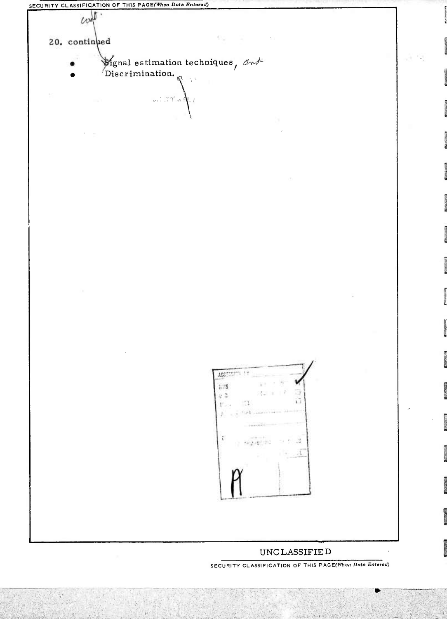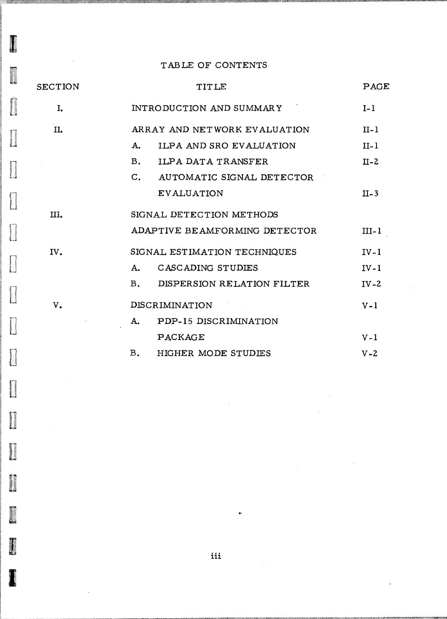### TABLE OF CONTENTS

**REAGAN** 

plinocoup)<br>Charles of

 $\frac{1}{2}$ 

 $\begin{bmatrix} 1 & 0 & 0 & 0 \\ 0 & 0 & 0 & 0 \\ 0 & 0 & 0 & 0 \\ 0 & 0 & 0 & 0 \\ 0 & 0 & 0 & 0 \\ 0 & 0 & 0 & 0 \\ 0 & 0 & 0 & 0 \\ 0 & 0 & 0 & 0 \\ 0 & 0 & 0 & 0 \\ 0 & 0 & 0 & 0 \\ 0 & 0 & 0 & 0 \\ 0 & 0 & 0 & 0 \\ 0 & 0 & 0 & 0 \\ 0 & 0 & 0 & 0 & 0 \\ 0 & 0 & 0 & 0 & 0 \\ 0 & 0 & 0 & 0 & 0 \\ 0 & 0 & 0 & 0 &$ 

 $\begin{bmatrix} 1 & 0 & 0 \\ 0 & 0 & 0 \\ 0 & 0 & 0 \\ 0 & 0 & 0 \\ 0 & 0 & 0 \\ 0 & 0 & 0 \\ 0 & 0 & 0 \\ 0 & 0 & 0 \\ 0 & 0 & 0 \\ 0 & 0 & 0 \\ 0 & 0 & 0 \\ 0 & 0 & 0 \\ 0 & 0 & 0 \\ 0 & 0 & 0 \\ 0 & 0 & 0 \\ 0 & 0 & 0 & 0 \\ 0 & 0 & 0 & 0 \\ 0 & 0 & 0 & 0 \\ 0 & 0 & 0 & 0 \\ 0 & 0 & 0 & 0 \\ 0 & 0 & 0 & 0 & 0 \\ 0 &$ 

 $\begin{picture}(20,20) \put(0,0){\line(1,0){155}} \put(15,0){\line(1,0){155}} \put(15,0){\line(1,0){155}} \put(15,0){\line(1,0){155}} \put(15,0){\line(1,0){155}} \put(15,0){\line(1,0){155}} \put(15,0){\line(1,0){155}} \put(15,0){\line(1,0){155}} \put(15,0){\line(1,0){155}} \put(15,0){\line(1,0){155}} \put(15,0){\line(1,0){155}} \$ 

**Expression** 

 $\prod_{\alpha\in\mathbb{Z}}$ 

| <b>SECTION</b>        | TITLE                                       | PAGE    |
|-----------------------|---------------------------------------------|---------|
| I.                    | INTRODUCTION AND SUMMARY                    | $I-1$   |
| II.                   | ARRAY AND NETWORK EVALUATION                | $II-1$  |
|                       | ILPA AND SRO EVALUATION<br>A.               | $II-1$  |
|                       | <b>B.</b><br><b>ILPA DATA TRANSFER</b>      | $II-2$  |
|                       | $\mathsf{C}$ .<br>AUTOMATIC SIGNAL DETECTOR |         |
|                       | <b>EVALUATION</b>                           | $II-3$  |
| III.                  | SIGNAL DETECTION METHODS                    |         |
|                       | ADAPTIVE BEAMFORMING DETECTOR               | $III-1$ |
| IV.                   | SIGNAL ESTIMATION TECHNIQUES                | $IV-1$  |
|                       | CASCADING STUDIES<br>А.                     | $IV-1$  |
|                       | DISPERSION RELATION FILTER<br><b>B.</b>     | $IV-2$  |
| V <sub>a</sub><br>an. | DISCRIMINATION                              | $V - 1$ |
|                       | PDP-15 DISCRIMINATION<br>A.                 |         |
|                       | PACKAGE                                     | $V - 1$ |
|                       | В.<br><b>HIGHER MODE STUDIES</b>            | $V - 2$ |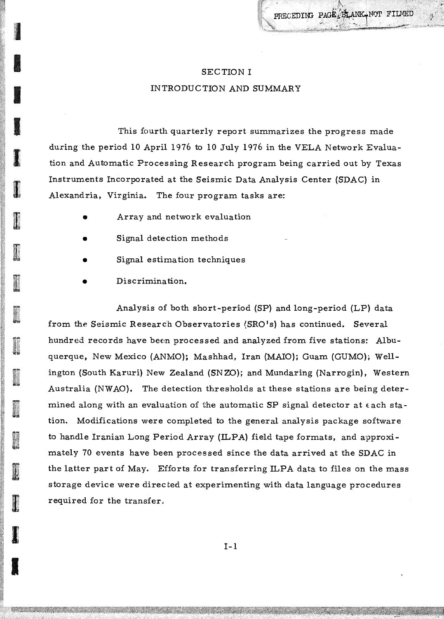**ww\*\*mrM**

**: :-;rir«^i':?^''«:ÄS\*s**

# SECTION I INTRODUCTION AND SUMMARY

This fourth quarterly report summarizes the progress made during the period 10 April 1976 to 10 July 1976 in the VELA Network Evaluation and Automatic Processing Research program being carried out by Texas Instruments Incorporated at the Seismic Data Analysis Center (SDAC) in Alexandria, Virginia. The four program tasks are:

- Array and network evaluation
- Signal detection methods
- Signal estimation techniques
- Discrimination.

**I**

**I**

**I**

**I**

Analysis of both short-period (SP) and long-period (LP) data from the Seismic Research Observatories (SRO's) has continued. Several hundred records have been processed and analyzed from five stations: Albuquerque, New Mexico (ANMO); Mashhad, Iran (MAIO); Guam (GUMO); Wellington (South Karuri) New Zealand (SNZO); and Mundaring (Narrogin), Western Australia (NWAO). The detection thresholds at these stations are being determined along with an evaluation of the automatic SP signal detector at  $\epsilon$  ach station. Modifications were completed to the general analysis package software to handle Iranian Long Period Array (ILPA) field tape formats, and approximately 70 events have been processed since the data arrived at the SDAC in the latter part of May. Efforts for transferring ILPA data to files on the mass storage device were directed at experimenting with data language procedures required for the transfer.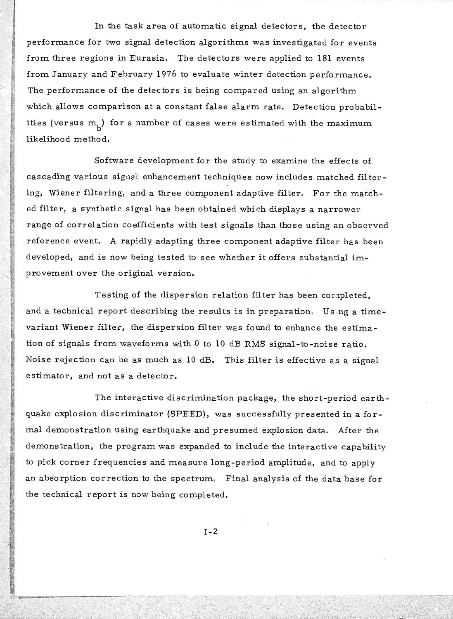In the task area of automatic signal detectors, the detector performance for two signal detection algorithms was investigated for events from three regions in Eurasia. The detectors were applied to 181 events from January and February 1976 to evaluate winter detection performance. The performance of the detectors is being compared using an algorithm which allows comparison at a constant false alarm rate. Detection probabilities (versus m<sub>1</sub>) for a number of cases were estimated with the maximum likelihood method.

Software development for the study to examine the effects of cascading various signal enhancement techniques now includes matched filtering, Wiener filtering, and a three component adaptive filter. For the matched filter, a synthetic signal has been obtained which displays a narrower range of correlation coefficients with test signals than those using an observed reference event. A rapidly adapting three component adaptive filter has been developed, and is now being tested to see whether it offers substantial improvement over the original version.

Testing of the dispersion relation filter has been completed, and a technical report describing the results is in preparation. Using a timevariant Wiener filter, the dispersion filter was found to enhance the estimation of signals from waveforms with 0 to 10 dB RMS signal-to-noise ratio. Noise rejection can be as much as <sup>10</sup> dB. This filter is effective as a signal estimator, and not as a detector.

The interactive discrimination package, the short-period earthquake explosion discriminator (SPEED), was successfully presented in a formal demonstration using earthquake and presumed explosion data. After the demonstration, the program was expanded to include the interactive capability to pick corner frequencies and measure long-period amplitude, and to apply an absorption correction to the spectrum. Final analysis of the data base for the technical report is now being completed.

**1-2**

**'. . ' . ; . . :** *li\* **. • ;... '. "** *: ': . •.* **".**

**S!**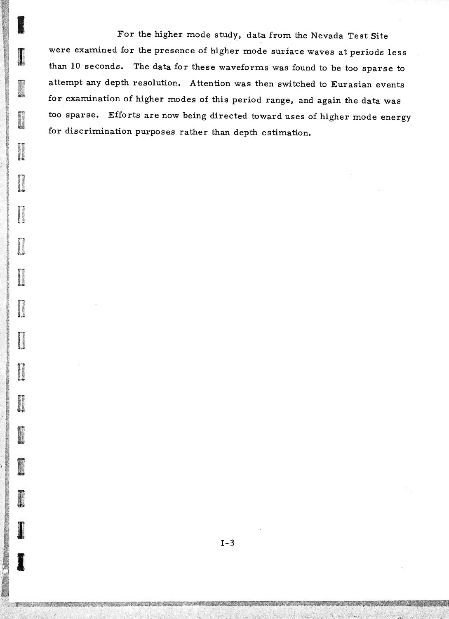For the higher mode study, data from the Nevada Test Site were examined for the presence of higher mode surface waves at periods less than 10 seconds. The data for these waveforms was found to be too sparse to attempt any depth resolution. Attention was then switched to Eurasian events for examination of higher modes of this period range, and again the data was too sparse. Efforts are now being directed toward uses of higher mode energy for discrimination purposes rather than depth estimation.

美国第四部式

**Conservation** 

**Gloriannia** 

**Comment** 

**Company** 

**Charge Street** 

**Report Follows** 

**Fabrication** 

● 第2525章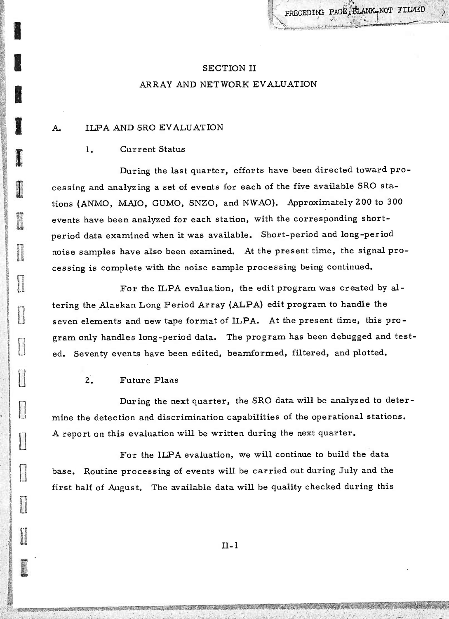# SECTION II ARRAY AND NETWORK EVALUATION

^•'.rmjtifrlafe'aa

#### A. ILPA AND SRO EVALUATION

#### 1. Current Status

**I**

**I**

**1**

**I**

*Calling* 

**0**

**0**

 $\begin{array}{c} \hline \end{array}$ 

**i**

During the last quarter, efforts have been directed toward processing and analyzing a set of events for each of the five available SRO stations (ANMO, MAIO, GUMO, SNZO, and NWAO). Approximately 200 to 300 events have been analyzed for each station, with the corresponding shortperiod data examined when it was available. Short-period and long-period noise samples have also been examined. At the present time, the signal processing is complete with the noise sample processing being continued.

For the ILPA evaluation, the edit program was created by altering the Alaskan Long Period Array (ALPA) edit program to handle the seven elements and new tape format of ILPA. At the present time, this program only handles long-period data. The program has been debugged and tested. Seventy events have been edited, beamformed, filtered, and plotted.

#### 2. Future Plans

During the next quarter, the SRO data will be analyzed to determine the detection and discrimination capabilities of the operational stations. A report on this evaluation will be written during the next quarter.

For the ILPA evaluation, we will continue to build the data base. Routine processing of events will be carried out during July and the first half of August. The available data will be quality checked during this

II-1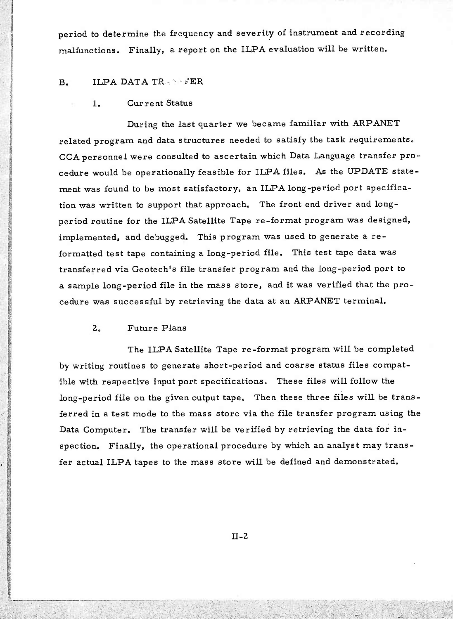period to determine the frequency and severity of instrument and recording malfunctions. Finally, a report on the ILPA evaluation will be written.

#### $B.$  ILPA DATA TRAPPER

#### 1. Current Status

During the last quarter we became familiar with ARPANET related program and data structures needed to satisfy the task requirements. CCA personnel were consulted to ascertain which Data Language transfer procedure would be operationally feasible for ILPA files. As the UPDATE statement was found to be most satisfactory, an ILPA long-period port specification was written to support that approach. The front end driver and longperiod routine for the ILPA Satellite Tape re-format program was designed, implemented, and debugged. This program was used to generate a reformatted test tape containing a long-period file. This test tape data was transferred via Geotech's file transfer program and the long-period port to a sample long-period file in the mass store, and it was verified that the procedure was successful by retrieving the data at an ARPANET terminal.

#### 2. Future Plans

**•'-"-"-" ". ,** ■■■**-.**

**. .•..... ,; ...;.: ^":**

The ILPA Satellite Tape re-format program will be completed by writing routines to generate short-period and coarse status files compatible with respective input port specifications. These files will follow the long-period file on the given output tape. Then these three files will be transferred in a test mode to the mass store via the file transfer program using the Data Computer. The transfer will be verified by retrieving the data for inspection. Finally, the operational procedure by which an analyst may transfer actual ILPA tapes to the mass store will be defined and demonstrated.

II-2

**; , .; : ; " ', :. . ,** ■■**,. ;• -"'** ■■■ **<sup>v</sup>**

**<sup>7</sup> ,** ■■**'•'** *' - ' '--: -.'*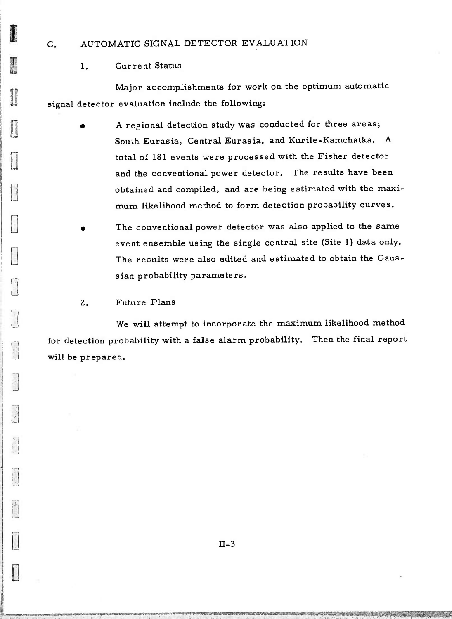#### C. AUTOMATIC SIGNAL DETECTOR EVALUATION

#### 1. Current Status

Major accomplishments for work on the optimum automatic signal detector evaluation include the following:

- A regional detection study was conducted for three areas; Souih Eurasia, Central Eurasia, and Kurile-Kamchatka. A total of 181 events were processed with the Fisher detector and the conventional power detector. The results have been obtained and compiled, and are being estimated with the maximum likelihood method to form detection probability curves.
	- The conventional power detector was also applied to the same event ensemble using the single central site (Site 1) data only. The results were also edited and estimated to obtain the Gaussian probability parameters.

#### 2. Future Plans

^«««»»»«»OTMMr«^^

**B**

**Backman** 

**: |**

ħ.

**0**

We will attempt to incorporate the maximum likelihood method for detection probability with a false alarm probability. Then the final report will be prepared.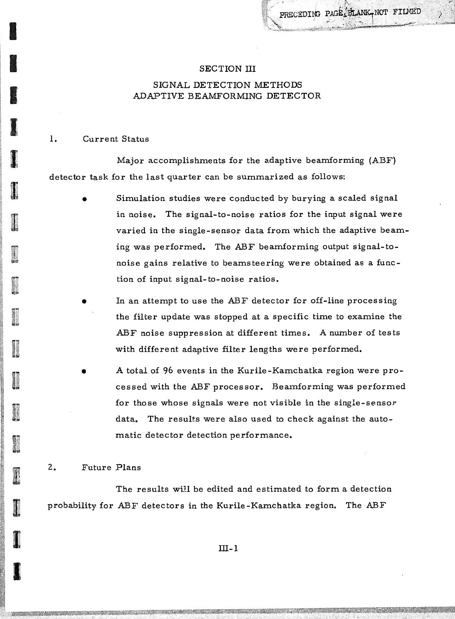**l^iJl-WWllMlffV'T"**

#### SECTION III

### SIGNAL DETECTION METHODS ADAPTIVE BEAMFORMING DETECTOR

#### 1. Current Status

Major accomplishments for the adaptive beamforming (ABF) detector task for the last quarter can be summarized as follows:

- Simulation studies were conducted by burying a scaled signal in noise. The signal-to-noise ratios for the input signal were varied in the single-sensor data from which the adaptive beaming was performed. The ABF beamforming output signal-tonoise gains relative to beamsteering were obtained as a function of input signal-to-noise ratios.
- In an attempt to use the ABF detector for off-line processing the filter update was stopped at a specific time to examine the ABF noise suppression at different times. A number of tests with different adaptive filter lengths were performed.
- A total of 96 events in the Kurile-Kamchatka region were processed with the ABF processor. Beamforming was performed for those whose signals were not visible in the single-sensor data. The results were also used to check against the automatic detector detection performance.

#### **2.** Future Plans

The results will be edited and estimated to form a detection probability for ABF detectors in the Kurile-Kamchatka region. The ABF

III-l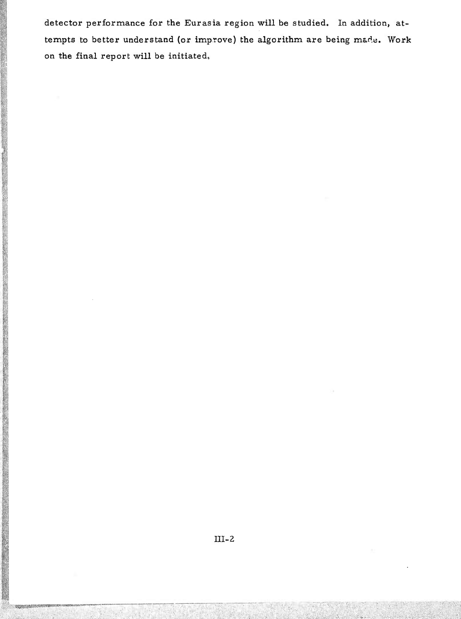detector performance for the Eurasia region will be studied. In addition, attempts to better understand (or improve) the algorithm are being made. Work on the final report will be initiated.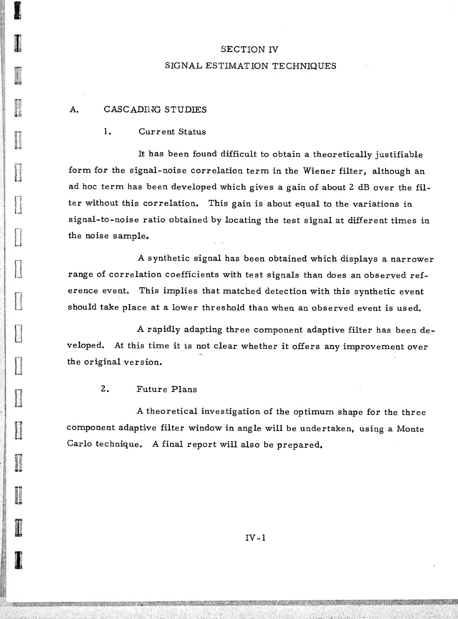## SECTION IV SIGNAL ESTIMATION TECHNIQUES

#### A. CASCADING STUDIES

**0**

**Q**

**Q**

**11** 

#### I. Current Status

It has been found difficult to obtain a theoretically justifiable form for the signal-noise correlation term in the Wiener filter, although an ad hoc term has been developed which gives a gain of about 2 dB over the filter without this correlation. This gain is about equal to the variations in signal-to-noise ratio obtained by locating the test signal at different times in the noise sample.

A synthetic signal has been obtained which displays a narrower range of correlation coefficients with test signals than does an observed reference event. This implies that matched detection with this synthetic event should take place at a lower threshold than when an observed event is used.

A rapidly adapting three component adaptive filter has been developed. At this time it is not clear whether it offers any improvement over the original version.

**2.** Future Plans

A theoretical investigation of the optimum shape for the three component adaptive filter window in angle will be undertaken, using a Monte Carlo technique. A final report will also be prepared.

 $IV-1$ 

**a^^^;';:-** ■■■**,;;**

**;** *: : -I:.* ■■**• .:**

alan dan kalendar dan bagian dan bahasa dan bagian dan bagian dari dari dari dari dari dari dan bagian dari da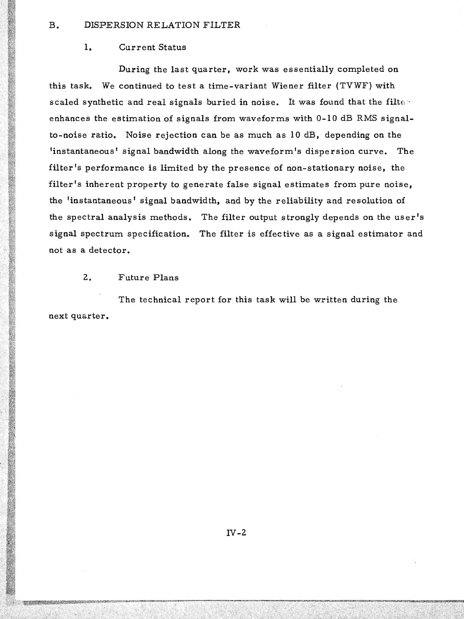#### B. DISPERSION RELATION FILTER

#### 1. Current Status

During the last quarter, work was essentially completed on this task. We continued to test a time-variant Wiener filter (TVWF) with scaled synthetic and real signals buried in noise. It was found that the filterenhances the estimation of signals from waveforms with 0-10 dB RMS signalto-noise ratio. Noise rejection can be as much as 10 dB, depending on the 'instantaneous' signal bandwidth along the waveform's dispersion curve. The filter's performance is limited by the presence of non-stationary noise, the filter's inherent property to generate false signal estimates from pure noise, the 'instantaneous' signal bandwidth, and by the reliability and resolution of the spectral analysis methods. The filter output strongly depends on the user's signal spectrum specification. The filter is effective as a signal estimator and not as a detector.

#### **2,** Future Plans

The technical report for this task will be written during the next quarter.

a sebesar dan bagian dan bagian dan bagian dari bagian dan bagian dari berasal dari berasal dan berasal dalam

**iWiWÄWWP^EWM: Wiv,-, ,xv/L>; \*V-^\W.Jd,rj^\*irVJ;;;v —.-^**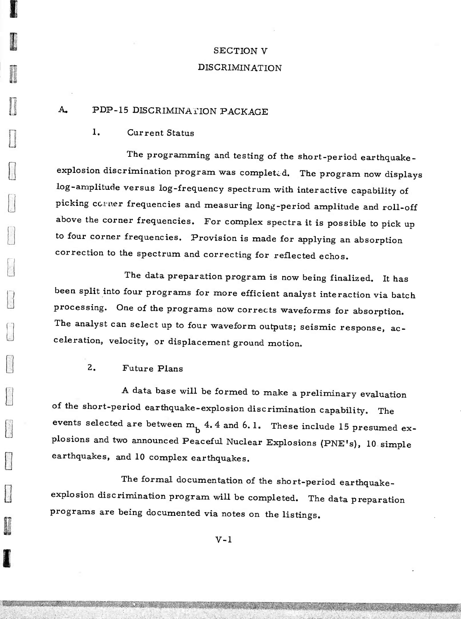# SECTION V DISCRIMINATION

### A. PDP-15 DISCRIMINATION PACKAGE

#### 1. Current Status

*m*

**i**

**u**

The programming and testing of the short-period earthquakeexplosion discrimination program was completed. The program now displays log-amplitude versus log-frequency spectrum with interactive capability of picking corner frequencies and measuring long-period amplitude and roll-off above the corner frequencies. For complex spectra it is possible to pick up to four corner frequencies. Provision is made for applying an absorption correction to the spectrum and correcting for reflected echos.

The data preparation program is now being finalized. It has been split into four programs for more efficient analyst interaction via batch processing. One of the programs now corrects waveforms for absorption. The analyst can select up to four waveform outputs; seismic response, acceleration, velocity, or displacement ground motion.

### 2. Future Plans

A data base will be formed to make a preliminary evaluation of the short-period earthquake-explosion discrimination capability. The events selected are between  $m_h$  4.4 and 6.1. These include 15 presumed explosions and two announced Peaceful Nuclear Explosions (PNE's), 10 simple earthquakes, and 10 complex earthquakes.

The formal documentation of the short-period earthquakeexplosion discrimination program will be completed. The data preparation programs are being documented via notes on the listings.

 $V-1$